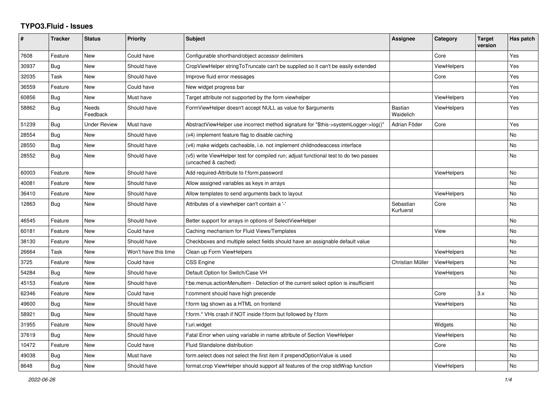## **TYPO3.Fluid - Issues**

| $\#$  | <b>Tracker</b> | <b>Status</b>     | <b>Priority</b>      | <b>Subject</b>                                                                                              | Assignee               | Category           | <b>Target</b><br>version | Has patch |
|-------|----------------|-------------------|----------------------|-------------------------------------------------------------------------------------------------------------|------------------------|--------------------|--------------------------|-----------|
| 7608  | Feature        | New               | Could have           | Configurable shorthand/object accessor delimiters                                                           |                        | Core               |                          | Yes       |
| 30937 | <b>Bug</b>     | New               | Should have          | CropViewHelper stringToTruncate can't be supplied so it can't be easily extended                            |                        | <b>ViewHelpers</b> |                          | Yes       |
| 32035 | Task           | New               | Should have          | Improve fluid error messages                                                                                |                        | Core               |                          | Yes       |
| 36559 | Feature        | New               | Could have           | New widget progress bar                                                                                     |                        |                    |                          | Yes       |
| 60856 | <b>Bug</b>     | New               | Must have            | Target attribute not supported by the form viewhelper                                                       |                        | ViewHelpers        |                          | Yes       |
| 58862 | Bug            | Needs<br>Feedback | Should have          | FormViewHelper doesn't accept NULL as value for \$arguments                                                 | Bastian<br>Waidelich   | ViewHelpers        |                          | Yes       |
| 51239 | <b>Bug</b>     | Under Review      | Must have            | AbstractViewHelper use incorrect method signature for "\$this->systemLogger->log()"                         | Adrian Föder           | Core               |                          | Yes       |
| 28554 | Bug            | <b>New</b>        | Should have          | (v4) implement feature flag to disable caching                                                              |                        |                    |                          | <b>No</b> |
| 28550 | <b>Bug</b>     | New               | Should have          | (v4) make widgets cacheable, i.e. not implement childnodeaccess interface                                   |                        |                    |                          | <b>No</b> |
| 28552 | Bug            | New               | Should have          | (v5) write ViewHelper test for compiled run; adjust functional test to do two passes<br>(uncached & cached) |                        |                    |                          | No        |
| 60003 | Feature        | New               | Should have          | Add required-Attribute to f:form.password                                                                   |                        | <b>ViewHelpers</b> |                          | No        |
| 40081 | Feature        | <b>New</b>        | Should have          | Allow assigned variables as keys in arrays                                                                  |                        |                    |                          | <b>No</b> |
| 36410 | Feature        | <b>New</b>        | Should have          | Allow templates to send arguments back to layout                                                            |                        | <b>ViewHelpers</b> |                          | <b>No</b> |
| 12863 | <b>Bug</b>     | New               | Should have          | Attributes of a viewhelper can't contain a '-'                                                              | Sebastian<br>Kurfuerst | Core               |                          | No        |
| 46545 | Feature        | New               | Should have          | Better support for arrays in options of SelectViewHelper                                                    |                        |                    |                          | No        |
| 60181 | Feature        | New               | Could have           | Caching mechanism for Fluid Views/Templates                                                                 |                        | View               |                          | No        |
| 38130 | Feature        | New               | Should have          | Checkboxes and multiple select fields should have an assignable default value                               |                        |                    |                          | <b>No</b> |
| 26664 | Task           | New               | Won't have this time | Clean up Form ViewHelpers                                                                                   |                        | ViewHelpers        |                          | <b>No</b> |
| 3725  | Feature        | New               | Could have           | <b>CSS Engine</b>                                                                                           | Christian Müller       | <b>ViewHelpers</b> |                          | <b>No</b> |
| 54284 | Bug            | New               | Should have          | Default Option for Switch/Case VH                                                                           |                        | <b>ViewHelpers</b> |                          | No        |
| 45153 | Feature        | <b>New</b>        | Should have          | f:be.menus.actionMenuItem - Detection of the current select option is insufficient                          |                        |                    |                          | No        |
| 62346 | Feature        | New               | Could have           | f:comment should have high precende                                                                         |                        | Core               | 3.x                      | <b>No</b> |
| 49600 | <b>Bug</b>     | New               | Should have          | f:form tag shown as a HTML on frontend                                                                      |                        | <b>ViewHelpers</b> |                          | <b>No</b> |
| 58921 | <b>Bug</b>     | New               | Should have          | f:form.* VHs crash if NOT inside f:form but followed by f:form                                              |                        |                    |                          | No        |
| 31955 | Feature        | <b>New</b>        | Should have          | f:uri.widget                                                                                                |                        | Widgets            |                          | <b>No</b> |
| 37619 | Bug            | New               | Should have          | Fatal Error when using variable in name attribute of Section ViewHelper                                     |                        | <b>ViewHelpers</b> |                          | No        |
| 10472 | Feature        | New               | Could have           | <b>Fluid Standalone distribution</b>                                                                        |                        | Core               |                          | No        |
| 49038 | Bug            | New               | Must have            | form select does not select the first item if prependOptionValue is used                                    |                        |                    |                          | No        |
| 8648  | <b>Bug</b>     | <b>New</b>        | Should have          | format.crop ViewHelper should support all features of the crop stdWrap function                             |                        | ViewHelpers        |                          | No        |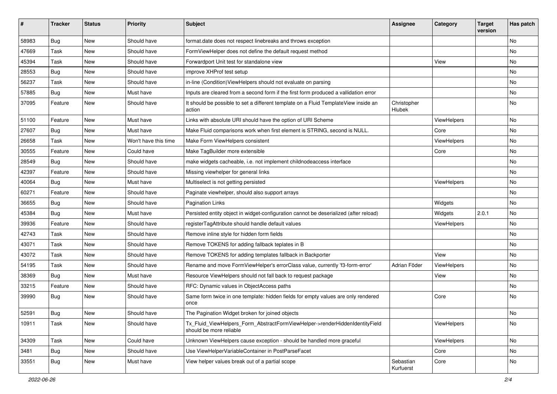| #     | <b>Tracker</b> | <b>Status</b> | <b>Priority</b>      | <b>Subject</b>                                                                                         | <b>Assignee</b>        | Category    | <b>Target</b><br>version | Has patch |
|-------|----------------|---------------|----------------------|--------------------------------------------------------------------------------------------------------|------------------------|-------------|--------------------------|-----------|
| 58983 | Bug            | New           | Should have          | format.date does not respect linebreaks and throws exception                                           |                        |             |                          | No        |
| 47669 | Task           | New           | Should have          | FormViewHelper does not define the default request method                                              |                        |             |                          | No        |
| 45394 | Task           | New           | Should have          | Forwardport Unit test for standalone view                                                              |                        | View        |                          | No        |
| 28553 | Bug            | New           | Should have          | improve XHProf test setup                                                                              |                        |             |                          | No        |
| 56237 | Task           | New           | Should have          | in-line (Condition) View Helpers should not evaluate on parsing                                        |                        |             |                          | No        |
| 57885 | Bug            | New           | Must have            | Inputs are cleared from a second form if the first form produced a vallidation error                   |                        |             |                          | No        |
| 37095 | Feature        | New           | Should have          | It should be possible to set a different template on a Fluid TemplateView inside an<br>action          | Christopher<br>Hlubek  |             |                          | No        |
| 51100 | Feature        | New           | Must have            | Links with absolute URI should have the option of URI Scheme                                           |                        | ViewHelpers |                          | No        |
| 27607 | <b>Bug</b>     | New           | Must have            | Make Fluid comparisons work when first element is STRING, second is NULL.                              |                        | Core        |                          | No        |
| 26658 | Task           | New           | Won't have this time | Make Form ViewHelpers consistent                                                                       |                        | ViewHelpers |                          | No        |
| 30555 | Feature        | New           | Could have           | Make TagBuilder more extensible                                                                        |                        | Core        |                          | No        |
| 28549 | Bug            | New           | Should have          | make widgets cacheable, i.e. not implement childnodeaccess interface                                   |                        |             |                          | No        |
| 42397 | Feature        | New           | Should have          | Missing viewhelper for general links                                                                   |                        |             |                          | No        |
| 40064 | Bug            | New           | Must have            | Multiselect is not getting persisted                                                                   |                        | ViewHelpers |                          | No        |
| 60271 | Feature        | New           | Should have          | Paginate viewhelper, should also support arrays                                                        |                        |             |                          | No        |
| 36655 | <b>Bug</b>     | New           | Should have          | <b>Pagination Links</b>                                                                                |                        | Widgets     |                          | No        |
| 45384 | Bug            | New           | Must have            | Persisted entity object in widget-configuration cannot be deserialized (after reload)                  |                        | Widgets     | 2.0.1                    | No        |
| 39936 | Feature        | <b>New</b>    | Should have          | registerTagAttribute should handle default values                                                      |                        | ViewHelpers |                          | No.       |
| 42743 | Task           | New           | Should have          | Remove inline style for hidden form fields                                                             |                        |             |                          | No        |
| 43071 | Task           | New           | Should have          | Remove TOKENS for adding fallback teplates in B                                                        |                        |             |                          | No        |
| 43072 | Task           | New           | Should have          | Remove TOKENS for adding templates fallback in Backporter                                              |                        | View        |                          | No        |
| 54195 | Task           | New           | Should have          | Rename and move FormViewHelper's errorClass value, currently 'f3-form-error'                           | Adrian Föder           | ViewHelpers |                          | No        |
| 38369 | Bug            | New           | Must have            | Resource ViewHelpers should not fall back to request package                                           |                        | View        |                          | No        |
| 33215 | Feature        | New           | Should have          | RFC: Dynamic values in ObjectAccess paths                                                              |                        |             |                          | No        |
| 39990 | Bug            | New           | Should have          | Same form twice in one template: hidden fields for empty values are only rendered<br>once              |                        | Core        |                          | No        |
| 52591 | Bug            | New           | Should have          | The Pagination Widget broken for joined objects                                                        |                        |             |                          | No        |
| 10911 | Task           | New           | Should have          | Tx_Fluid_ViewHelpers_Form_AbstractFormViewHelper->renderHiddenIdentityField<br>should be more reliable |                        | ViewHelpers |                          | No        |
| 34309 | Task           | New           | Could have           | Unknown ViewHelpers cause exception - should be handled more graceful                                  |                        | ViewHelpers |                          | No        |
| 3481  | Bug            | New           | Should have          | Use ViewHelperVariableContainer in PostParseFacet                                                      |                        | Core        |                          | No        |
| 33551 | Bug            | New           | Must have            | View helper values break out of a partial scope                                                        | Sebastian<br>Kurfuerst | Core        |                          | No        |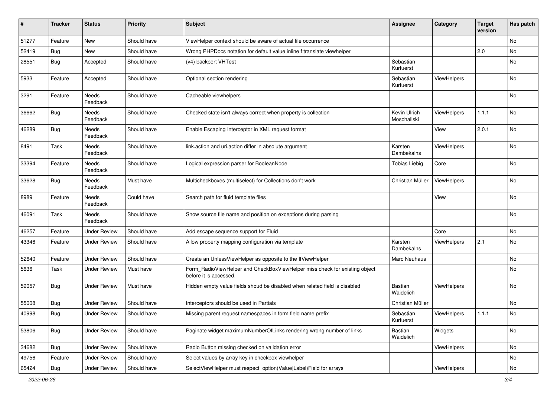| #     | <b>Tracker</b> | <b>Status</b>       | <b>Priority</b> | Subject                                                                                              | <b>Assignee</b>             | Category           | <b>Target</b><br>version | Has patch |
|-------|----------------|---------------------|-----------------|------------------------------------------------------------------------------------------------------|-----------------------------|--------------------|--------------------------|-----------|
| 51277 | Feature        | New                 | Should have     | ViewHelper context should be aware of actual file occurrence                                         |                             |                    |                          | No        |
| 52419 | Bug            | New                 | Should have     | Wrong PHPDocs notation for default value inline f:translate viewhelper                               |                             |                    | 2.0                      | No        |
| 28551 | Bug            | Accepted            | Should have     | (v4) backport VHTest                                                                                 | Sebastian<br>Kurfuerst      |                    |                          | No        |
| 5933  | Feature        | Accepted            | Should have     | Optional section rendering                                                                           | Sebastian<br>Kurfuerst      | ViewHelpers        |                          | No        |
| 3291  | Feature        | Needs<br>Feedback   | Should have     | Cacheable viewhelpers                                                                                |                             |                    |                          | No        |
| 36662 | Bug            | Needs<br>Feedback   | Should have     | Checked state isn't always correct when property is collection                                       | Kevin Ulrich<br>Moschallski | ViewHelpers        | 1.1.1                    | <b>No</b> |
| 46289 | Bug            | Needs<br>Feedback   | Should have     | Enable Escaping Interceptor in XML request format                                                    |                             | View               | 2.0.1                    | No        |
| 8491  | Task           | Needs<br>Feedback   | Should have     | link.action and uri.action differ in absolute argument                                               | Karsten<br>Dambekalns       | ViewHelpers        |                          | No        |
| 33394 | Feature        | Needs<br>Feedback   | Should have     | Logical expression parser for BooleanNode                                                            | <b>Tobias Liebig</b>        | Core               |                          | No        |
| 33628 | Bug            | Needs<br>Feedback   | Must have       | Multicheckboxes (multiselect) for Collections don't work                                             | Christian Müller            | ViewHelpers        |                          | No        |
| 8989  | Feature        | Needs<br>Feedback   | Could have      | Search path for fluid template files                                                                 |                             | View               |                          | No        |
| 46091 | Task           | Needs<br>Feedback   | Should have     | Show source file name and position on exceptions during parsing                                      |                             |                    |                          | No        |
| 46257 | Feature        | <b>Under Review</b> | Should have     | Add escape sequence support for Fluid                                                                |                             | Core               |                          | No        |
| 43346 | Feature        | Under Review        | Should have     | Allow property mapping configuration via template                                                    | Karsten<br>Dambekalns       | <b>ViewHelpers</b> | 2.1                      | No        |
| 52640 | Feature        | <b>Under Review</b> | Should have     | Create an UnlessViewHelper as opposite to the IfViewHelper                                           | Marc Neuhaus                |                    |                          | No        |
| 5636  | Task           | <b>Under Review</b> | Must have       | Form_RadioViewHelper and CheckBoxViewHelper miss check for existing object<br>before it is accessed. |                             |                    |                          | No        |
| 59057 | <b>Bug</b>     | <b>Under Review</b> | Must have       | Hidden empty value fields shoud be disabled when related field is disabled                           | Bastian<br>Waidelich        | ViewHelpers        |                          | No        |
| 55008 | Bug            | <b>Under Review</b> | Should have     | Interceptors should be used in Partials                                                              | Christian Müller            |                    |                          | No        |
| 40998 | Bug            | Under Review        | Should have     | Missing parent request namespaces in form field name prefix                                          | Sebastian<br>Kurfuerst      | ViewHelpers        | 1.1.1                    | No        |
| 53806 | <b>Bug</b>     | <b>Under Review</b> | Should have     | Paginate widget maximumNumberOfLinks rendering wrong number of links                                 | Bastian<br>Waidelich        | Widgets            |                          | No        |
| 34682 | Bug            | <b>Under Review</b> | Should have     | Radio Button missing checked on validation error                                                     |                             | ViewHelpers        |                          | No        |
| 49756 | Feature        | <b>Under Review</b> | Should have     | Select values by array key in checkbox viewhelper                                                    |                             |                    |                          | No        |
| 65424 | Bug            | <b>Under Review</b> | Should have     | SelectViewHelper must respect option(Value Label)Field for arrays                                    |                             | ViewHelpers        |                          | No        |